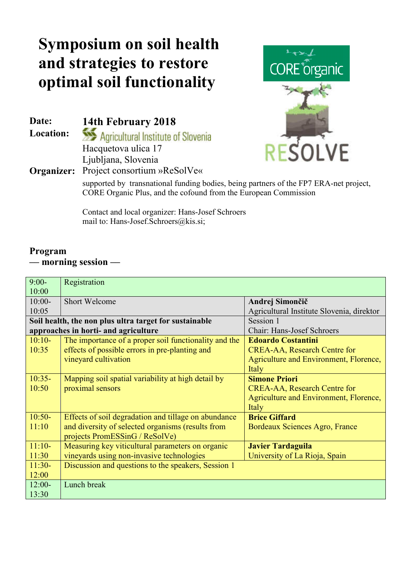## **Symposium on soil health and strategies to restore optimal soil functionality**

**Location:**

Date: **14th February 2018**<br> **Location: See Additional Additional Institute of Slovenia** Hacquetova ulica 17 Ljubljana, Slovenia **Organizer:** Project consortium »ReSolVe«



supported by transnational funding bodies, being partners of the FP7 ERA-net project, CORE Organic Plus, and the cofound from the European Commission

Contact and local organizer: Hans-Josef Schroers mail to: Hans-Josef.Schroers@kis.si;

## **Program –– morning session ––**

| $9:00-$                                                | Registration                                          |                                           |
|--------------------------------------------------------|-------------------------------------------------------|-------------------------------------------|
| 10:00                                                  |                                                       |                                           |
| $10:00-$                                               | <b>Short Welcome</b>                                  | Andrej Simončič                           |
| 10:05                                                  |                                                       | Agricultural Institute Slovenia, direktor |
| Soil health, the non plus ultra target for sustainable |                                                       | Session 1                                 |
| approaches in horti- and agriculture                   |                                                       | <b>Chair: Hans-Josef Schroers</b>         |
| $10:10-$                                               | The importance of a proper soil functionality and the | <b>Edoardo Costantini</b>                 |
| 10:35                                                  | effects of possible errors in pre-planting and        | <b>CREA-AA, Research Centre for</b>       |
|                                                        | vineyard cultivation                                  | Agriculture and Environment, Florence,    |
|                                                        |                                                       | Italy                                     |
| $10:35-$                                               | Mapping soil spatial variability at high detail by    | <b>Simone Priori</b>                      |
| 10:50                                                  | proximal sensors                                      | <b>CREA-AA, Research Centre for</b>       |
|                                                        |                                                       | Agriculture and Environment, Florence,    |
|                                                        |                                                       | Italy                                     |
| $10:50-$                                               | Effects of soil degradation and tillage on abundance  | <b>Brice Giffard</b>                      |
| 11:10                                                  | and diversity of selected organisms (results from     | Bordeaux Sciences Agro, France            |
|                                                        | projects PromESSinG / ReSolVe)                        |                                           |
| $11:10-$                                               | Measuring key viticultural parameters on organic      | <b>Javier Tardaguila</b>                  |
| 11:30                                                  | vineyards using non-invasive technologies             | University of La Rioja, Spain             |
| $11:30-$                                               | Discussion and questions to the speakers, Session 1   |                                           |
| 12:00                                                  |                                                       |                                           |
| $12:00-$                                               | Lunch break                                           |                                           |
| 13:30                                                  |                                                       |                                           |